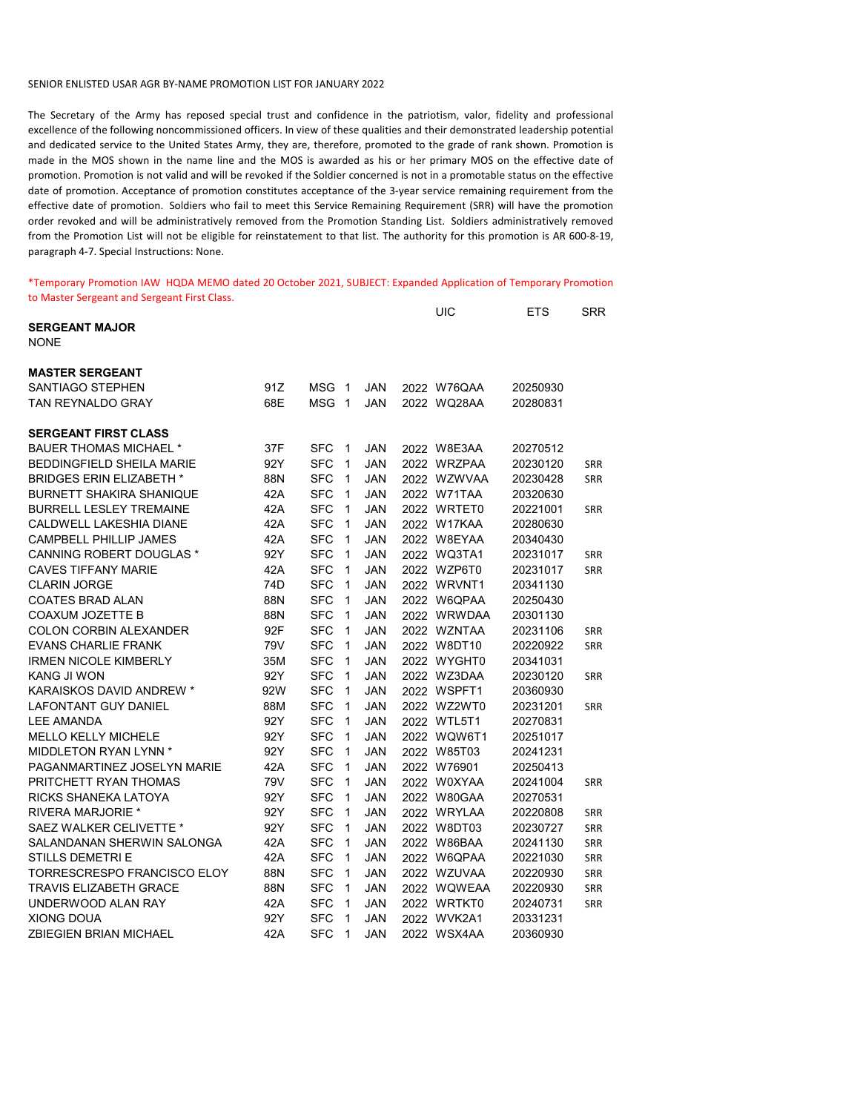## SENIOR ENLISTED USAR AGR BY-NAME PROMOTION LIST FOR JANUARY 2022

The Secretary of the Army has reposed special trust and confidence in the patriotism, valor, fidelity and professional excellence of the following noncommissioned officers. In view of these qualities and their demonstrated leadership potential and dedicated service to the United States Army, they are, therefore, promoted to the grade of rank shown. Promotion is made in the MOS shown in the name line and the MOS is awarded as his or her primary MOS on the effective date of promotion. Promotion is not valid and will be revoked if the Soldier concerned is not in a promotable status on the effective date of promotion. Acceptance of promotion constitutes acceptance of the 3-year service remaining requirement from the effective date of promotion. Soldiers who fail to meet this Service Remaining Requirement (SRR) will have the promotion order revoked and will be administratively removed from the Promotion Standing List. Soldiers administratively removed from the Promotion List will not be eligible for reinstatement to that list. The authority for this promotion is AR 600-8-19, paragraph 4-7. Special Instructions: None.

\*Temporary Promotion IAW HQDA MEMO dated 20 October 2021, SUBJECT: Expanded Application of Temporary Promotion to Master Sergeant and Sergeant First Class.

|                                  |     |            |              |            | UIC         | ETS      | SRR        |
|----------------------------------|-----|------------|--------------|------------|-------------|----------|------------|
| <b>SERGEANT MAJOR</b>            |     |            |              |            |             |          |            |
| <b>NONE</b>                      |     |            |              |            |             |          |            |
| <b>MASTER SERGEANT</b>           |     |            |              |            |             |          |            |
| SANTIAGO STEPHEN                 | 91Z | <b>MSG</b> | $\mathbf{1}$ | <b>JAN</b> | 2022 W76QAA | 20250930 |            |
| <b>TAN REYNALDO GRAY</b>         | 68E | <b>MSG</b> | 1            | <b>JAN</b> | 2022 WQ28AA | 20280831 |            |
|                                  |     |            |              |            |             |          |            |
| <b>SERGEANT FIRST CLASS</b>      |     |            |              |            |             |          |            |
| <b>BAUER THOMAS MICHAEL *</b>    | 37F | <b>SFC</b> | $\mathbf{1}$ | JAN        | 2022 W8E3AA | 20270512 |            |
| <b>BEDDINGFIELD SHEILA MARIE</b> | 92Y | <b>SFC</b> | $\mathbf{1}$ | <b>JAN</b> | 2022 WRZPAA | 20230120 | SRR        |
| <b>BRIDGES ERIN ELIZABETH *</b>  | 88N | <b>SFC</b> | 1            | JAN        | 2022 WZWVAA | 20230428 | <b>SRR</b> |
| <b>BURNETT SHAKIRA SHANIQUE</b>  | 42A | <b>SFC</b> | $\mathbf{1}$ | <b>JAN</b> | 2022 W71TAA | 20320630 |            |
| <b>BURRELL LESLEY TREMAINE</b>   | 42A | <b>SFC</b> | $\mathbf{1}$ | <b>JAN</b> | 2022 WRTET0 | 20221001 | SRR        |
| CALDWELL LAKESHIA DIANE          | 42A | <b>SFC</b> | 1            | <b>JAN</b> | 2022 W17KAA | 20280630 |            |
| <b>CAMPBELL PHILLIP JAMES</b>    | 42A | <b>SFC</b> | 1            | <b>JAN</b> | 2022 W8EYAA | 20340430 |            |
| CANNING ROBERT DOUGLAS *         | 92Y | <b>SFC</b> | 1            | JAN        | 2022 WQ3TA1 | 20231017 | SRR        |
| <b>CAVES TIFFANY MARIE</b>       | 42A | <b>SFC</b> | 1            | <b>JAN</b> | 2022 WZP6T0 | 20231017 | SRR        |
| <b>CLARIN JORGE</b>              | 74D | <b>SFC</b> | $\mathbf{1}$ | <b>JAN</b> | 2022 WRVNT1 | 20341130 |            |
| <b>COATES BRAD ALAN</b>          | 88N | <b>SFC</b> | $\mathbf{1}$ | JAN        | 2022 W6QPAA | 20250430 |            |
| COAXUM JOZETTE B                 | 88N | <b>SFC</b> | $\mathbf{1}$ | <b>JAN</b> | 2022 WRWDAA | 20301130 |            |
| <b>COLON CORBIN ALEXANDER</b>    | 92F | <b>SFC</b> | 1            | <b>JAN</b> | 2022 WZNTAA | 20231106 | <b>SRR</b> |
| <b>EVANS CHARLIE FRANK</b>       | 79V | <b>SFC</b> | $\mathbf{1}$ | <b>JAN</b> | 2022 W8DT10 | 20220922 | <b>SRR</b> |
| <b>IRMEN NICOLE KIMBERLY</b>     | 35M | <b>SFC</b> | $\mathbf{1}$ | <b>JAN</b> | 2022 WYGHT0 | 20341031 |            |
| KANG JI WON                      | 92Y | <b>SFC</b> | $\mathbf{1}$ | <b>JAN</b> | 2022 WZ3DAA | 20230120 | <b>SRR</b> |
| KARAISKOS DAVID ANDREW *         | 92W | <b>SFC</b> | $\mathbf{1}$ | <b>JAN</b> | 2022 WSPFT1 | 20360930 |            |
| <b>LAFONTANT GUY DANIEL</b>      | 88M | <b>SFC</b> | 1            | <b>JAN</b> | 2022 WZ2WT0 | 20231201 | <b>SRR</b> |
| <b>LEE AMANDA</b>                | 92Y | <b>SFC</b> | 1            | <b>JAN</b> | 2022 WTL5T1 | 20270831 |            |
| <b>MELLO KELLY MICHELE</b>       | 92Y | <b>SFC</b> | $\mathbf{1}$ | <b>JAN</b> | 2022 WQW6T1 | 20251017 |            |
| MIDDLETON RYAN LYNN *            | 92Y | <b>SFC</b> | $\mathbf{1}$ | <b>JAN</b> | 2022 W85T03 | 20241231 |            |
| PAGANMARTINEZ JOSELYN MARIE      | 42A | <b>SFC</b> | $\mathbf{1}$ | <b>JAN</b> | 2022 W76901 | 20250413 |            |
| PRITCHETT RYAN THOMAS            | 79V | <b>SFC</b> | 1            | <b>JAN</b> | 2022 W0XYAA | 20241004 | SRR        |
| RICKS SHANEKA LATOYA             | 92Y | <b>SFC</b> | 1            | <b>JAN</b> | 2022 W80GAA | 20270531 |            |
| <b>RIVERA MARJORIE *</b>         | 92Y | <b>SFC</b> | $\mathbf{1}$ | <b>JAN</b> | 2022 WRYLAA | 20220808 | SRR        |
| SAEZ WALKER CELIVETTE *          | 92Y | <b>SFC</b> | $\mathbf{1}$ | <b>JAN</b> | 2022 W8DT03 | 20230727 | SRR        |
| SALANDANAN SHERWIN SALONGA       | 42A | <b>SFC</b> | 1            | <b>JAN</b> | 2022 W86BAA | 20241130 | SRR        |
| STILLS DEMETRI E                 | 42A | <b>SFC</b> | 1            | JAN        | 2022 W6QPAA | 20221030 | SRR        |
| TORRESCRESPO FRANCISCO ELOY      | 88N | <b>SFC</b> | 1            | JAN        | 2022 WZUVAA | 20220930 | <b>SRR</b> |
| <b>TRAVIS ELIZABETH GRACE</b>    | 88N | <b>SFC</b> | $\mathbf{1}$ | <b>JAN</b> | 2022 WQWEAA | 20220930 | SRR        |
| UNDERWOOD ALAN RAY               | 42A | <b>SFC</b> | $\mathbf{1}$ | JAN        | 2022 WRTKT0 | 20240731 | <b>SRR</b> |
| <b>XIONG DOUA</b>                | 92Y | <b>SFC</b> | 1            | <b>JAN</b> | 2022 WVK2A1 | 20331231 |            |
| ZBIEGIEN BRIAN MICHAEL           | 42A | <b>SFC</b> | 1            | JAN        | 2022 WSX4AA | 20360930 |            |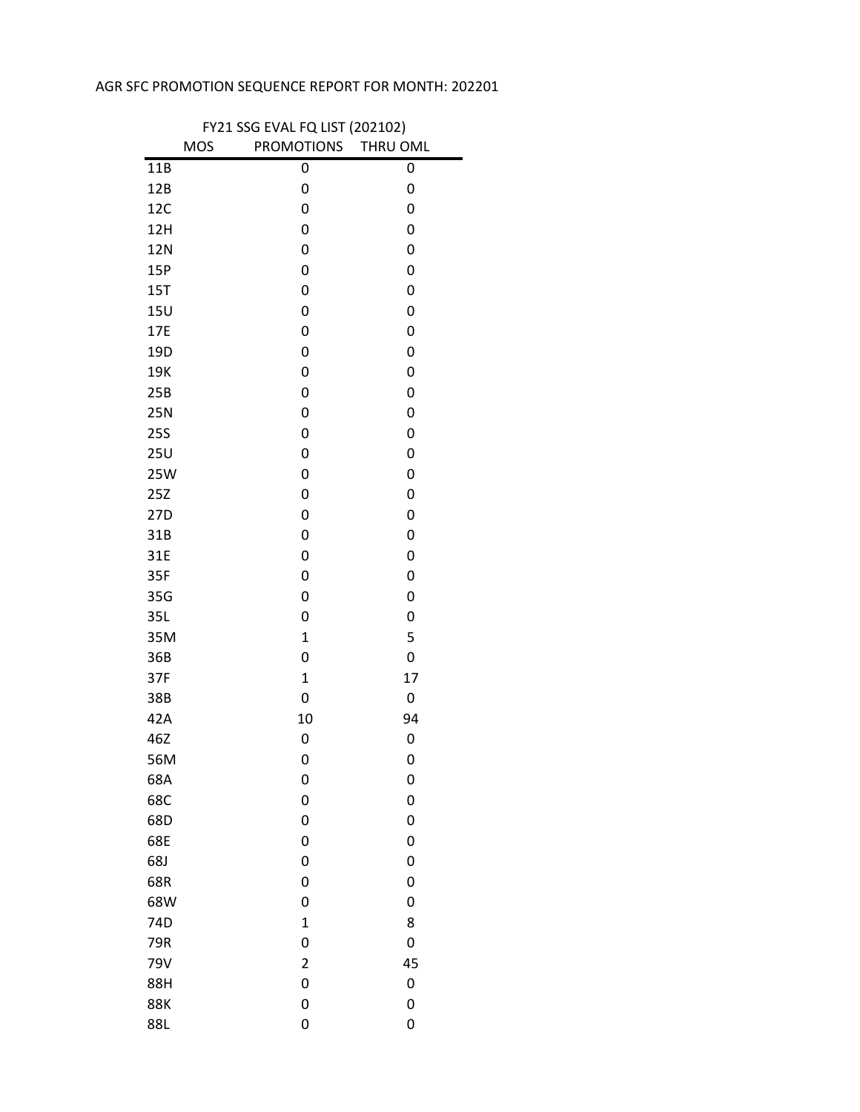## AGR SFC PROMOTION SEQUENCE REPORT FOR MONTH: 202201

 $\blacksquare$ 

| FY21 SSG EVAL FQ LIST (202102) |            |                     |    |
|--------------------------------|------------|---------------------|----|
|                                | <b>MOS</b> | PROMOTIONS THRU OML |    |
| 11B                            |            | 0                   | 0  |
| 12B                            |            | 0                   | 0  |
| 12C                            |            | 0                   | 0  |
| 12H                            |            | 0                   | 0  |
| <b>12N</b>                     |            | 0                   | 0  |
| 15P                            |            | 0                   | 0  |
| 15T                            |            | 0                   | 0  |
| 15U                            |            | 0                   | 0  |
| 17E                            |            | 0                   | 0  |
| 19D                            |            | 0                   | 0  |
| 19K                            |            | 0                   | 0  |
| 25B                            |            | 0                   | 0  |
| 25N                            |            | 0                   | 0  |
| <b>25S</b>                     |            | 0                   | 0  |
| <b>25U</b>                     |            | 0                   | 0  |
| 25W                            |            | 0                   | 0  |
| 25Z                            |            | 0                   | 0  |
| 27D                            |            | 0                   | 0  |
| 31B                            |            | 0                   | 0  |
| 31E                            |            | 0                   | 0  |
| 35F                            |            | 0                   | 0  |
| 35G                            |            | 0                   | 0  |
| 35L                            |            | 0                   | 0  |
| 35M                            |            | $\mathbf{1}$        | 5  |
| 36B                            |            | 0                   | 0  |
| 37F                            |            | $\mathbf{1}$        | 17 |
| 38B                            |            | 0                   | 0  |
| 42A                            |            | 10                  | 94 |
| 46Z                            |            | 0                   | 0  |
| 56M                            |            | 0                   | 0  |
| 68A                            |            | 0                   | 0  |
| 68C                            |            | 0                   | 0  |
| 68D                            |            | 0                   | 0  |
| 68E                            |            | 0                   | 0  |
| 68J                            |            | 0                   | 0  |
| 68R                            |            | 0                   | 0  |
| 68W                            |            | 0                   | 0  |
| 74D                            |            | $\mathbf 1$         | 8  |
| 79R                            |            | 0                   | 0  |
| 79V                            |            | $\overline{2}$      | 45 |
| 88H                            |            | 0                   | 0  |
| <b>88K</b>                     |            | 0                   | 0  |
| 88L                            |            | 0                   | 0  |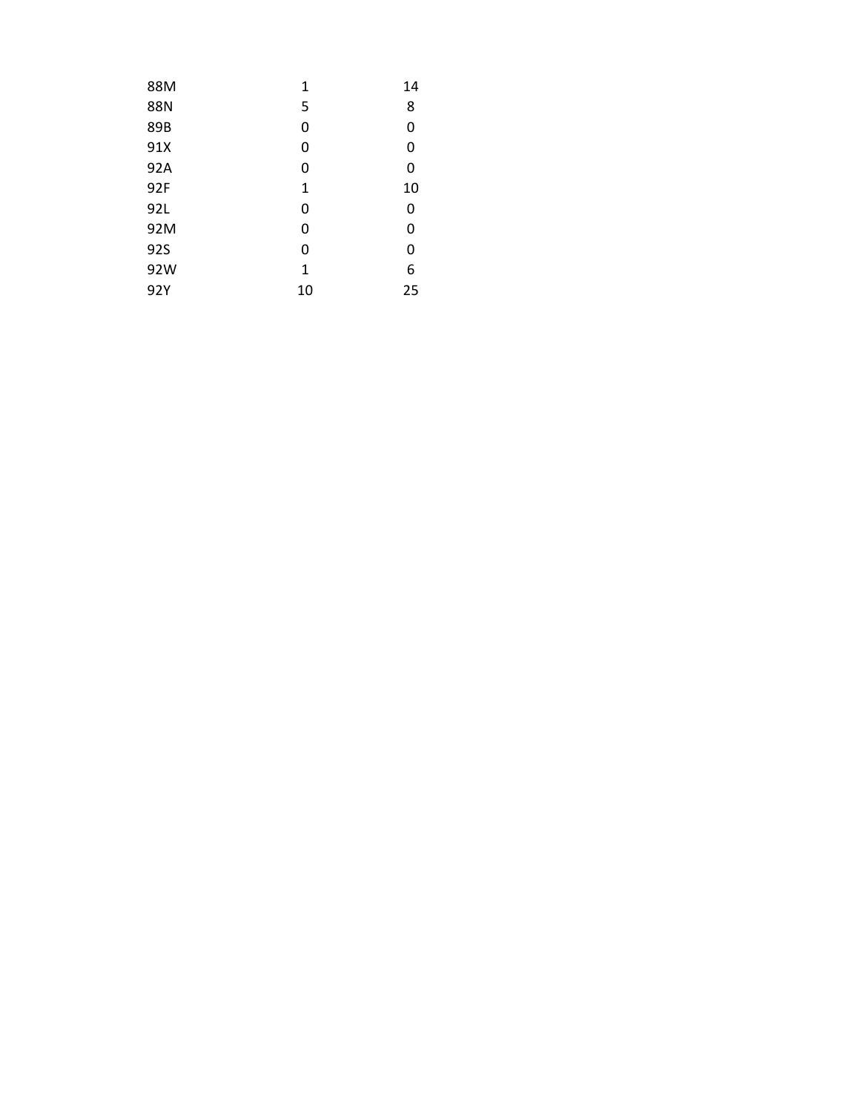| 88M | 1  | 14 |
|-----|----|----|
| 88N | 5  | 8  |
| 89B | 0  | 0  |
| 91X | 0  | 0  |
| 92A | 0  | 0  |
| 92F | 1  | 10 |
| 92L | 0  | 0  |
| 92M | 0  | 0  |
| 92S | 0  | 0  |
| 92W | 1  | 6  |
| 92Y | 10 | 25 |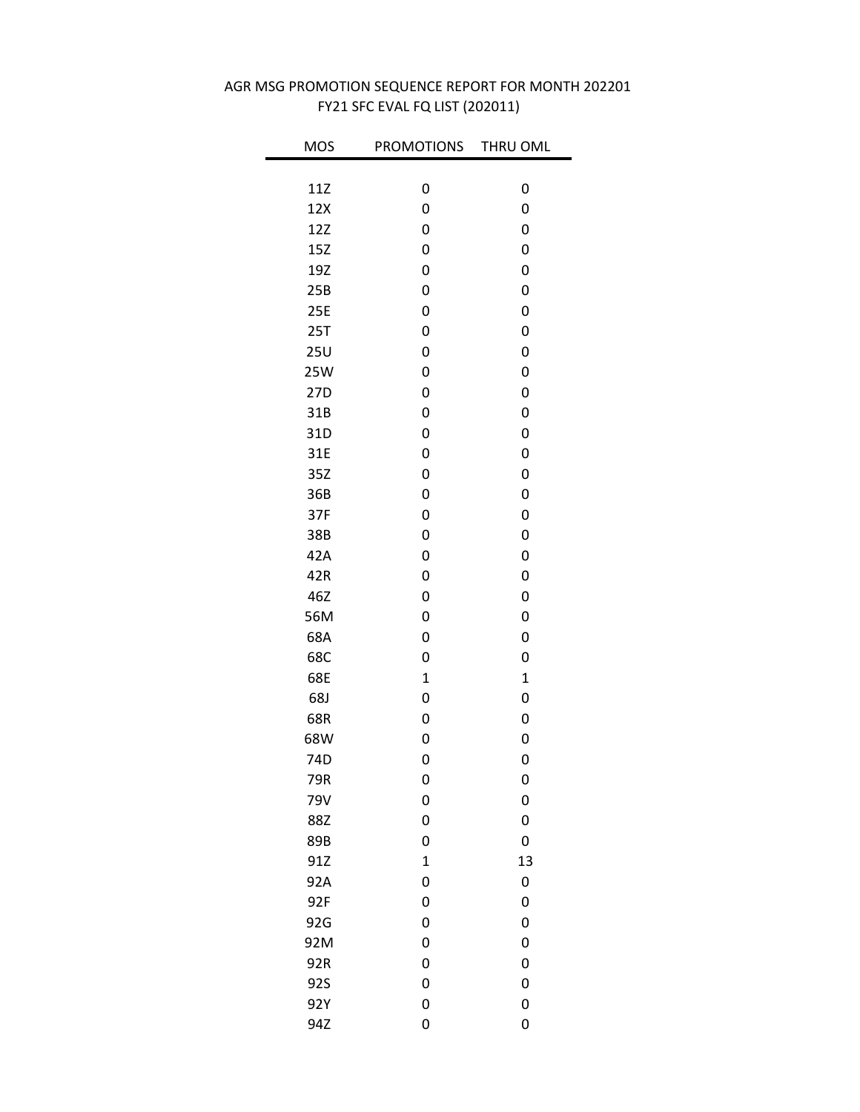| <b>MOS</b> | <b>PROMOTIONS</b> | THRU OML    |
|------------|-------------------|-------------|
| 11Z        | 0                 | 0           |
| 12X        | 0                 | 0           |
| 12Z        | 0                 | 0           |
| 15Z        | 0                 | 0           |
| 19Z        | 0                 | 0           |
| 25B        | 0                 | 0           |
| 25E        | 0                 | 0           |
| 25T        | 0                 | 0           |
| 25U        | 0                 | 0           |
| 25W        | 0                 | 0           |
| 27D        | 0                 | 0           |
| 31B        | 0                 | 0           |
| 31D        | 0                 | 0           |
| 31E        | 0                 | 0           |
| 35Z        | 0                 | 0           |
| 36B        | 0                 | 0           |
| 37F        | 0                 | 0           |
| 38B        | 0                 | 0           |
| 42A        | 0                 | 0           |
| 42R        | 0                 | 0           |
| 46Z        | 0                 | 0           |
| 56M        | 0                 | 0           |
| 68A        | 0                 | 0           |
| 68C        | 0                 | 0           |
| 68E        | $\mathbf 1$       | $\mathbf 1$ |
| 68J        | 0                 | 0           |
| 68R        | 0                 | 0           |
| 68W        | 0                 | 0           |
| 74D        | 0                 | 0           |
| 79R        | 0                 | 0           |
| 79V        | 0                 | 0           |
| 88Z        | 0                 | 0           |
| 89B        | 0                 | 0           |
| 91Z        | $\mathbf 1$       | 13          |
| 92A        | 0                 | 0           |
| 92F        | 0                 | 0           |
| 92G        | 0                 | 0           |
| 92M        | 0                 | 0           |
| 92R        | 0                 | 0           |
| 92S        | 0                 | 0           |
| 92Y        | 0                 | 0           |
| 94Z        | 0                 | 0           |

## FY21 SFC EVAL FQ LIST (202011) AGR MSG PROMOTION SEQUENCE REPORT FOR MONTH 202201